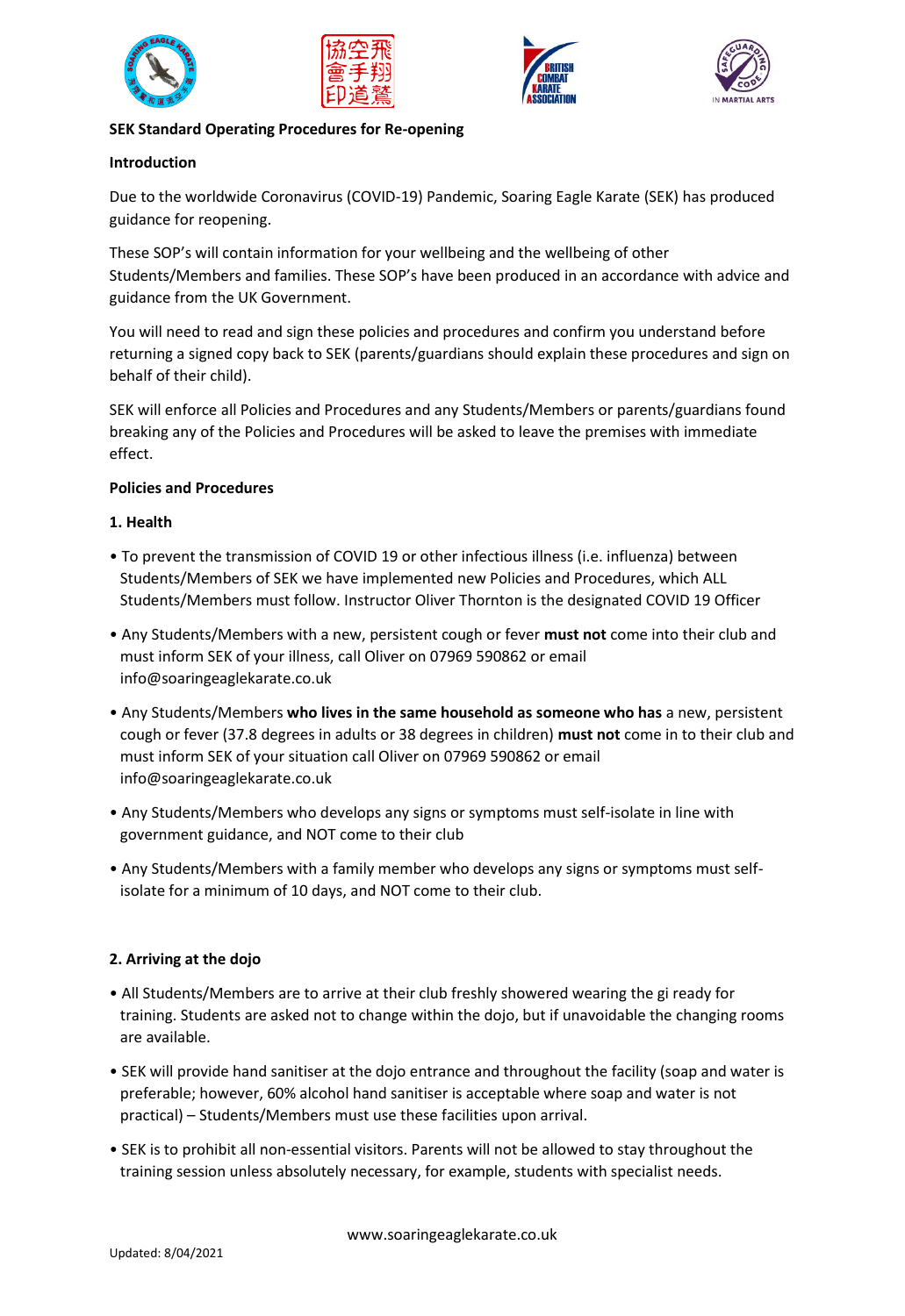







## **SEK Standard Operating Procedures for Re-opening**

### **Introduction**

Due to the worldwide Coronavirus (COVID-19) Pandemic, Soaring Eagle Karate (SEK) has produced guidance for reopening.

These SOP's will contain information for your wellbeing and the wellbeing of other Students/Members and families. These SOP's have been produced in an accordance with advice and guidance from the UK Government.

You will need to read and sign these policies and procedures and confirm you understand before returning a signed copy back to SEK (parents/guardians should explain these procedures and sign on behalf of their child).

SEK will enforce all Policies and Procedures and any Students/Members or parents/guardians found breaking any of the Policies and Procedures will be asked to leave the premises with immediate effect.

### **Policies and Procedures**

## **1. Health**

- To prevent the transmission of COVID 19 or other infectious illness (i.e. influenza) between Students/Members of SEK we have implemented new Policies and Procedures, which ALL Students/Members must follow. Instructor Oliver Thornton is the designated COVID 19 Officer
- Any Students/Members with a new, persistent cough or fever **must not** come into their club and must inform SEK of your illness, call Oliver on 07969 590862 or email info@soaringeaglekarate.co.uk
- Any Students/Members **who lives in the same household as someone who has** a new, persistent cough or fever (37.8 degrees in adults or 38 degrees in children) **must not** come in to their club and must inform SEK of your situation call Oliver on 07969 590862 or email info@soaringeaglekarate.co.uk
- Any Students/Members who develops any signs or symptoms must self-isolate in line with government guidance, and NOT come to their club
- Any Students/Members with a family member who develops any signs or symptoms must selfisolate for a minimum of 10 days, and NOT come to their club.

# **2. Arriving at the dojo**

- All Students/Members are to arrive at their club freshly showered wearing the gi ready for training. Students are asked not to change within the dojo, but if unavoidable the changing rooms are available.
- SEK will provide hand sanitiser at the dojo entrance and throughout the facility (soap and water is preferable; however, 60% alcohol hand sanitiser is acceptable where soap and water is not practical) – Students/Members must use these facilities upon arrival.
- SEK is to prohibit all non-essential visitors. Parents will not be allowed to stay throughout the training session unless absolutely necessary, for example, students with specialist needs.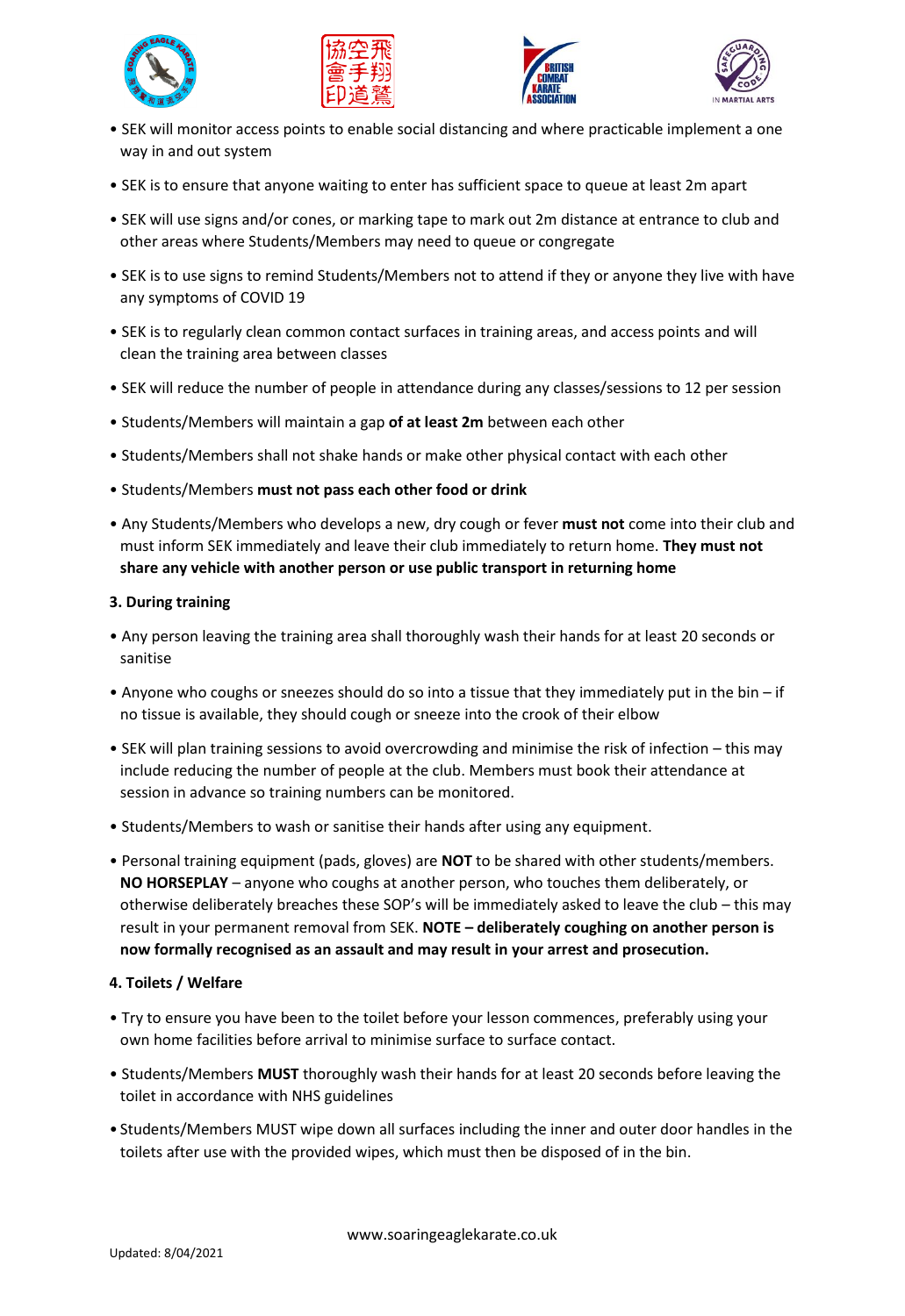







- SEK will monitor access points to enable social distancing and where practicable implement a one way in and out system
- SEK is to ensure that anyone waiting to enter has sufficient space to queue at least 2m apart
- SEK will use signs and/or cones, or marking tape to mark out 2m distance at entrance to club and other areas where Students/Members may need to queue or congregate
- SEK is to use signs to remind Students/Members not to attend if they or anyone they live with have any symptoms of COVID 19
- SEK is to regularly clean common contact surfaces in training areas, and access points and will clean the training area between classes
- SEK will reduce the number of people in attendance during any classes/sessions to 12 per session
- Students/Members will maintain a gap **of at least 2m** between each other
- Students/Members shall not shake hands or make other physical contact with each other
- Students/Members **must not pass each other food or drink**
- Any Students/Members who develops a new, dry cough or fever **must not** come into their club and must inform SEK immediately and leave their club immediately to return home. **They must not share any vehicle with another person or use public transport in returning home**

### **3. During training**

- Any person leaving the training area shall thoroughly wash their hands for at least 20 seconds or sanitise
- Anyone who coughs or sneezes should do so into a tissue that they immediately put in the bin if no tissue is available, they should cough or sneeze into the crook of their elbow
- SEK will plan training sessions to avoid overcrowding and minimise the risk of infection this may include reducing the number of people at the club. Members must book their attendance at session in advance so training numbers can be monitored.
- Students/Members to wash or sanitise their hands after using any equipment.
- Personal training equipment (pads, gloves) are **NOT** to be shared with other students/members. **NO HORSEPLAY** – anyone who coughs at another person, who touches them deliberately, or otherwise deliberately breaches these SOP's will be immediately asked to leave the club – this may result in your permanent removal from SEK. **NOTE – deliberately coughing on another person is now formally recognised as an assault and may result in your arrest and prosecution.**

### **4. Toilets / Welfare**

- Try to ensure you have been to the toilet before your lesson commences, preferably using your own home facilities before arrival to minimise surface to surface contact.
- Students/Members **MUST** thoroughly wash their hands for at least 20 seconds before leaving the toilet in accordance with NHS guidelines
- Students/Members MUST wipe down all surfaces including the inner and outer door handles in the toilets after use with the provided wipes, which must then be disposed of in the bin.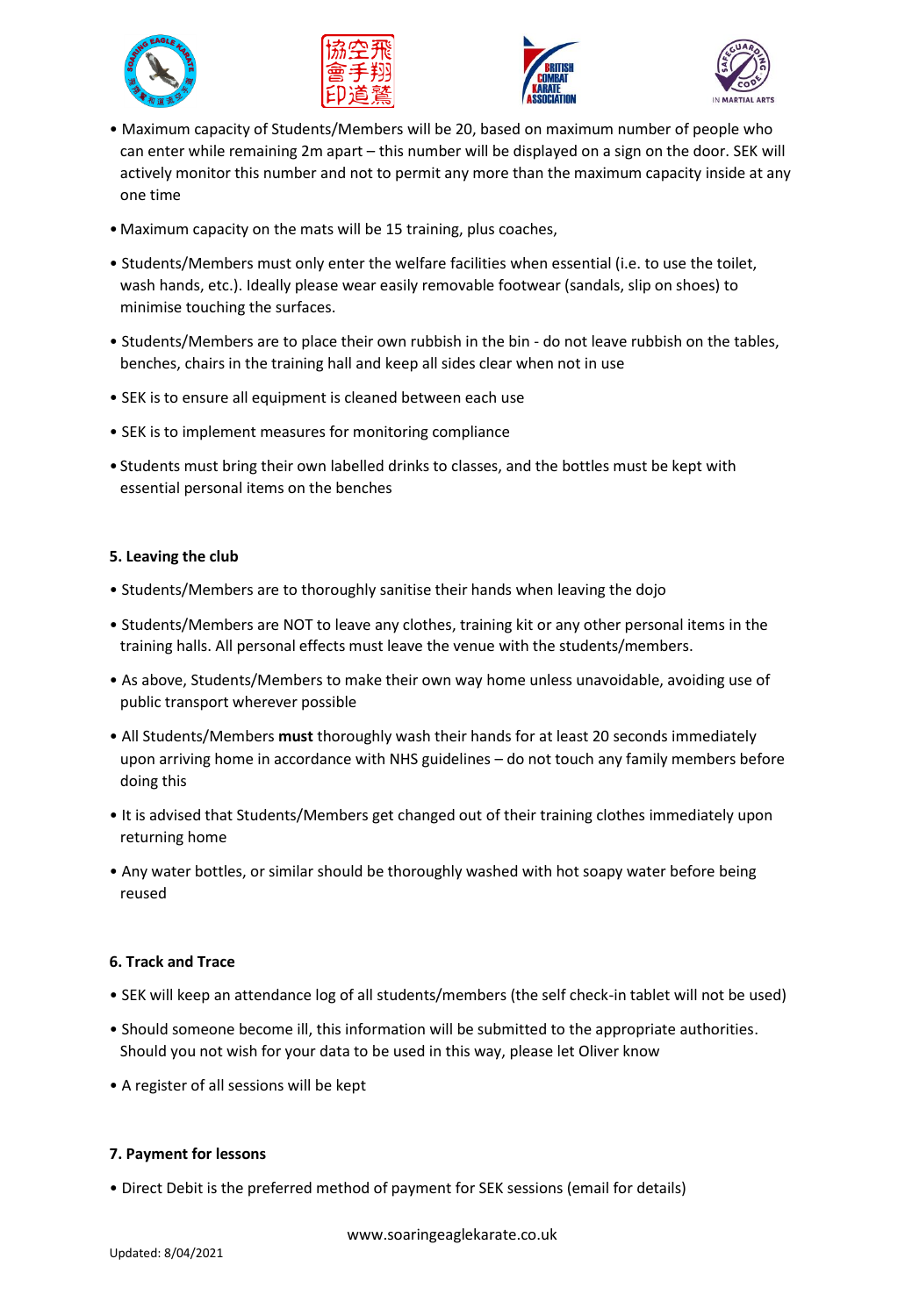







- Maximum capacity of Students/Members will be 20, based on maximum number of people who can enter while remaining 2m apart – this number will be displayed on a sign on the door. SEK will actively monitor this number and not to permit any more than the maximum capacity inside at any one time
- Maximum capacity on the mats will be 15 training, plus coaches,
- Students/Members must only enter the welfare facilities when essential (i.e. to use the toilet, wash hands, etc.). Ideally please wear easily removable footwear (sandals, slip on shoes) to minimise touching the surfaces.
- Students/Members are to place their own rubbish in the bin do not leave rubbish on the tables, benches, chairs in the training hall and keep all sides clear when not in use
- SEK is to ensure all equipment is cleaned between each use
- SEK is to implement measures for monitoring compliance
- Students must bring their own labelled drinks to classes, and the bottles must be kept with essential personal items on the benches

## **5. Leaving the club**

- Students/Members are to thoroughly sanitise their hands when leaving the dojo
- Students/Members are NOT to leave any clothes, training kit or any other personal items in the training halls. All personal effects must leave the venue with the students/members.
- As above, Students/Members to make their own way home unless unavoidable, avoiding use of public transport wherever possible
- All Students/Members **must** thoroughly wash their hands for at least 20 seconds immediately upon arriving home in accordance with NHS guidelines – do not touch any family members before doing this
- It is advised that Students/Members get changed out of their training clothes immediately upon returning home
- Any water bottles, or similar should be thoroughly washed with hot soapy water before being reused

# **6. Track and Trace**

- SEK will keep an attendance log of all students/members (the self check-in tablet will not be used)
- Should someone become ill, this information will be submitted to the appropriate authorities. Should you not wish for your data to be used in this way, please let Oliver know
- A register of all sessions will be kept

### **7. Payment for lessons**

• Direct Debit is the preferred method of payment for SEK sessions (email for details)